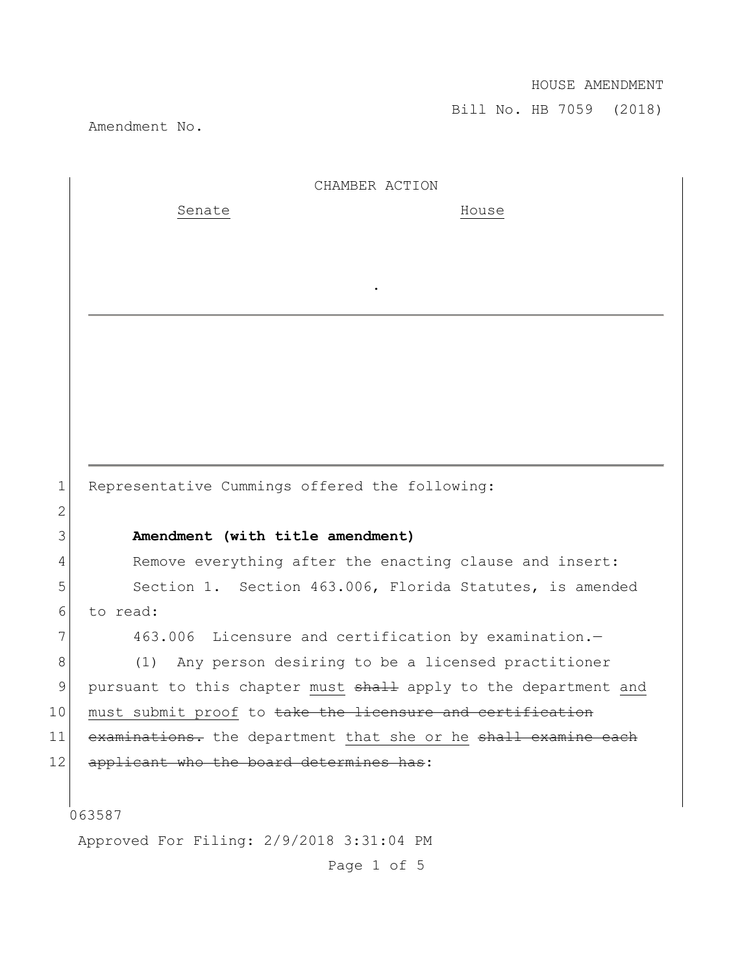## HOUSE AMENDMENT

Bill No. HB 7059 (2018)

Amendment No.

|                 | CHAMBER ACTION                                                  |
|-----------------|-----------------------------------------------------------------|
|                 | Senate<br>House                                                 |
|                 |                                                                 |
|                 |                                                                 |
|                 |                                                                 |
|                 |                                                                 |
|                 |                                                                 |
|                 |                                                                 |
|                 |                                                                 |
|                 |                                                                 |
|                 |                                                                 |
| $\mathbf 1$     | Representative Cummings offered the following:                  |
| $\overline{2}$  |                                                                 |
| 3               | Amendment (with title amendment)                                |
| 4               | Remove everything after the enacting clause and insert:         |
| 5               | Section 1. Section 463.006, Florida Statutes, is amended        |
| 6               | to read:                                                        |
| 7               | 463.006 Licensure and certification by examination.-            |
| 8               | Any person desiring to be a licensed practitioner<br>(1)        |
| 9               | pursuant to this chapter must shall apply to the department and |
| 10 <sub>1</sub> | must submit proof to take the licensure and certification       |
| 11              | examinations. the department that she or he shall examine each  |
| 12              | applicant who the board determines has:                         |
|                 |                                                                 |
|                 | 063587                                                          |
|                 | Approved For Filing: 2/9/2018 3:31:04 PM                        |

Page 1 of 5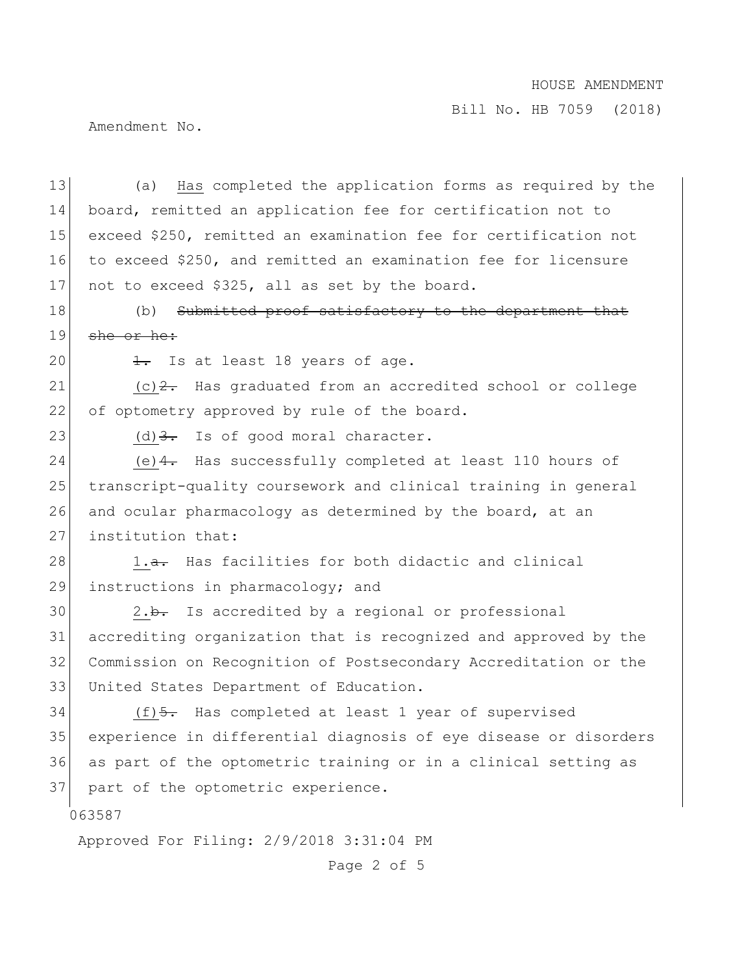## HOUSE AMENDMENT

Bill No. HB 7059 (2018)

Amendment No.

13 (a) Has completed the application forms as required by the 14 board, remitted an application fee for certification not to 15 exceed \$250, remitted an examination fee for certification not 16 to exceed \$250, and remitted an examination fee for licensure 17 not to exceed \$325, all as set by the board.

18 (b) Submitted proof satisfactory to the department that 19  $she$  or he:

20  $\frac{1}{1}$  Is at least 18 years of age.

21  $(c)$  2. Has graduated from an accredited school or college 22 of optometry approved by rule of the board.

23 (d)  $\frac{3}{2}$  Is of good moral character.

24 (e) 4. Has successfully completed at least 110 hours of 25 transcript-quality coursework and clinical training in general 26 and ocular pharmacology as determined by the board, at an 27 institution that:

28  $\vert$  1.<del>a.</del> Has facilities for both didactic and clinical 29 instructions in pharmacology; and

 2.b. Is accredited by a regional or professional accrediting organization that is recognized and approved by the Commission on Recognition of Postsecondary Accreditation or the United States Department of Education.

34 (f) 5. Has completed at least 1 year of supervised 35 experience in differential diagnosis of eye disease or disorders 36 as part of the optometric training or in a clinical setting as 37 part of the optometric experience.

063587

Approved For Filing: 2/9/2018 3:31:04 PM

Page 2 of 5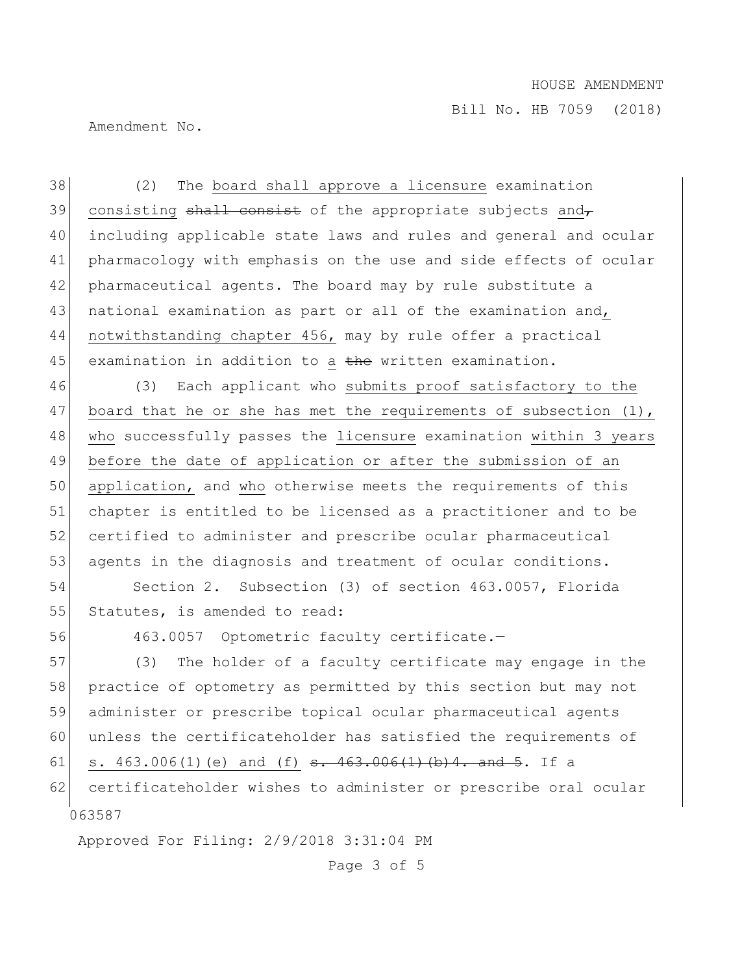Bill No. HB 7059 (2018)

Amendment No.

38 (2) The board shall approve a licensure examination 39 consisting  $shall$  consist of the appropriate subjects and 40 including applicable state laws and rules and general and ocular 41 pharmacology with emphasis on the use and side effects of ocular 42 pharmaceutical agents. The board may by rule substitute a 43 national examination as part or all of the examination and, 44 notwithstanding chapter 456, may by rule offer a practical 45 examination in addition to a the written examination.

46 (3) Each applicant who submits proof satisfactory to the 47 board that he or she has met the requirements of subsection (1), 48 who successfully passes the licensure examination within 3 years 49 before the date of application or after the submission of an 50 application, and who otherwise meets the requirements of this 51 chapter is entitled to be licensed as a practitioner and to be 52 certified to administer and prescribe ocular pharmaceutical 53 agents in the diagnosis and treatment of ocular conditions.

54 Section 2. Subsection (3) of section 463.0057, Florida 55 Statutes, is amended to read:

56 463.0057 Optometric faculty certificate.—

063587 57 (3) The holder of a faculty certificate may engage in the 58 practice of optometry as permitted by this section but may not 59 administer or prescribe topical ocular pharmaceutical agents 60 unless the certificateholder has satisfied the requirements of 61 s.  $463.006(1)$  (e) and (f) s.  $463.006(1)$  (b) 4. and 5. If a 62 certificateholder wishes to administer or prescribe oral ocular

Approved For Filing: 2/9/2018 3:31:04 PM

Page 3 of 5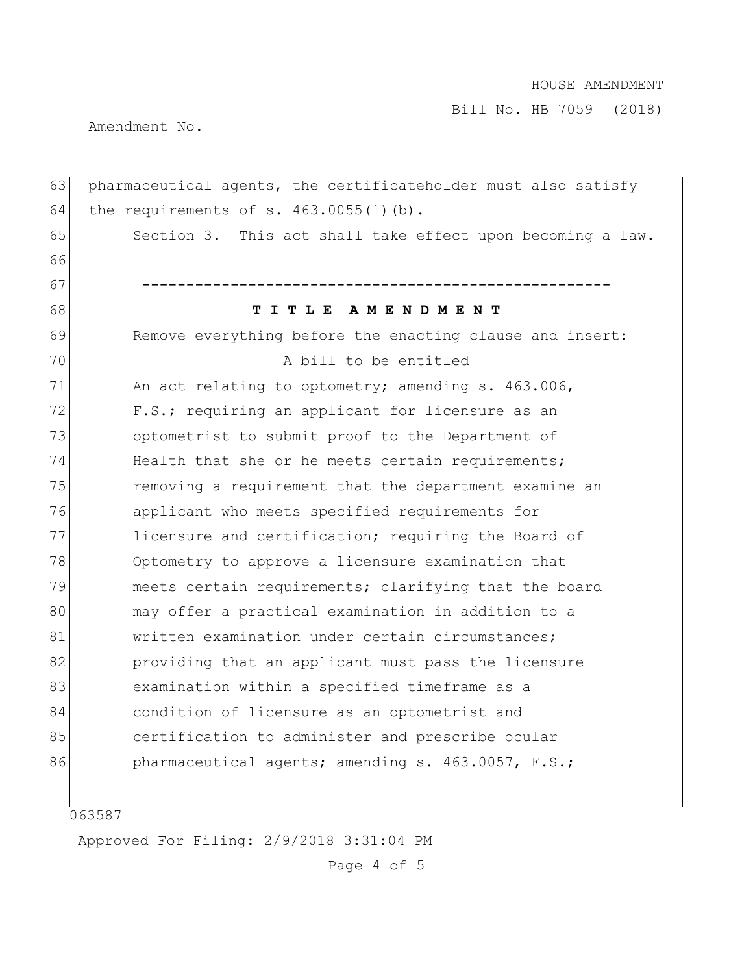Bill No. HB 7059 (2018)

Amendment No.

| 63 | pharmaceutical agents, the certificateholder must also satisfy |
|----|----------------------------------------------------------------|
| 64 | the requirements of s. $463.0055(1)$ (b).                      |
| 65 | Section 3. This act shall take effect upon becoming a law.     |
| 66 |                                                                |
| 67 |                                                                |
| 68 | TITLE AMENDMENT                                                |
| 69 | Remove everything before the enacting clause and insert:       |
| 70 | A bill to be entitled                                          |
| 71 | An act relating to optometry; amending s. 463.006,             |
| 72 | F.S.; requiring an applicant for licensure as an               |
| 73 | optometrist to submit proof to the Department of               |
| 74 | Health that she or he meets certain requirements;              |
| 75 | removing a requirement that the department examine an          |
| 76 | applicant who meets specified requirements for                 |
| 77 | licensure and certification; requiring the Board of            |
| 78 | Optometry to approve a licensure examination that              |
| 79 | meets certain requirements; clarifying that the board          |
| 80 | may offer a practical examination in addition to a             |
| 81 | written examination under certain circumstances;               |
| 82 | providing that an applicant must pass the licensure            |
| 83 | examination within a specified timeframe as a                  |
| 84 | condition of licensure as an optometrist and                   |
| 85 | certification to administer and prescribe ocular               |
| 86 | pharmaceutical agents; amending s. 463.0057, F.S.;             |
|    |                                                                |

|<br>063587

Approved For Filing: 2/9/2018 3:31:04 PM

Page 4 of 5